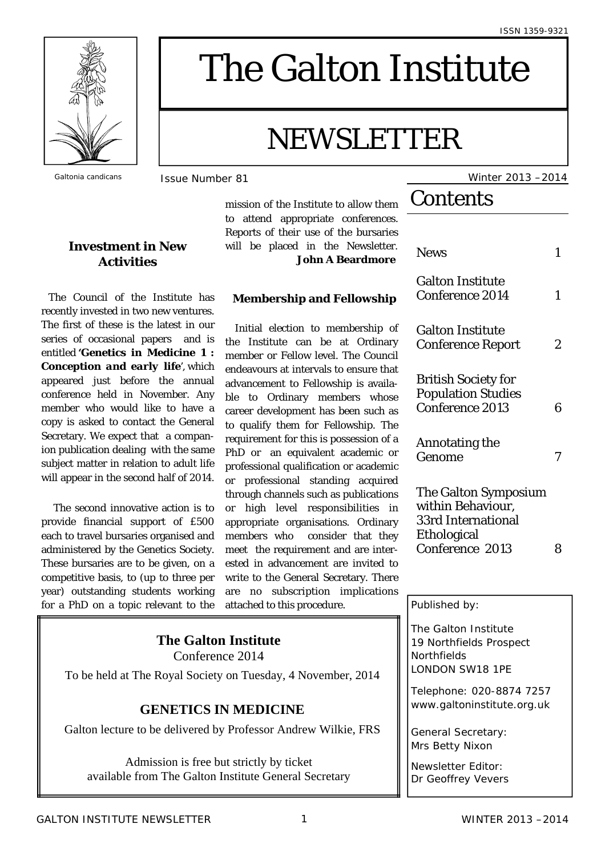

### **Investment in New Activities**

The Council of the Institute has recently invested in two new ventures. The first of these is the latest in our series of occasional papers and is entitled **'***Genetics in Medicine 1 : Conception and early life',* which appeared just before the annual conference held in November. Any member who would like to have a copy is asked to contact the General Secretary. We expect that a companion publication dealing with the same subject matter in relation to adult life will appear in the second half of 2014.

 The second innovative action is to provide financial support of £500 each to travel bursaries organised and administered by the Genetics Society. These bursaries are to be given, on a competitive basis, to (up to three per year) outstanding students working for a PhD on a topic relevant to the

# The Galton Institute

# NEWSLETTER

mission of the Institute to allow them to attend appropriate conferences. Reports of their use of the bursaries will be placed in the Newsletter.

**John A Beardmore** 

### **Membership and Fellowship**

 Initial election to membership of the Institute can be at Ordinary member or Fellow level. The Council endeavours at intervals to ensure that advancement to Fellowship is available to Ordinary members whose career development has been such as to qualify them for Fellowship. The requirement for this is possession of a PhD or an equivalent academic or professional qualification or academic or professional standing acquired through channels such as publications or high level responsibilities in appropriate organisations. Ordinary members who consider that they meet the requirement and are interested in advancement are invited to write to the General Secretary. There are no subscription implications attached to this procedure.

### **The Galton Institute**

Conference 2014

To be held at The Royal Society on Tuesday, 4 November, 2014

### **GENETICS IN MEDICINE**

Galton lecture to be delivered by Professor Andrew Wilkie, FRS

Admission is free but strictly by ticket available from The Galton Institute General Secretary

*Galtonia candicans* Issue Number 81 Winter 2013 –2014

## **Contents**

| <b>News</b>                                                                                              |   |
|----------------------------------------------------------------------------------------------------------|---|
| <b>Galton Institute</b><br><b>Conference 2014</b>                                                        | 1 |
| <b>Galton Institute</b><br><b>Conference Report</b>                                                      | 2 |
| <b>British Society for</b><br><b>Population Studies</b><br><b>Conference 2013</b>                        | 6 |
| <b>Annotating the</b><br>Genome                                                                          |   |
| The Galton Symposium<br>within Behaviour,<br><b>33rd International</b><br>Ethological<br>Conference 2013 |   |

#### Published by:

The Galton Institute 19 Northfields Prospect **Northfields** LONDON SW18 1PE

Telephone: 020-8874 7257 www.galtoninstitute.org.uk

General Secretary: Mrs Betty Nixon

Newsletter Editor: Dr Geoffrey Vevers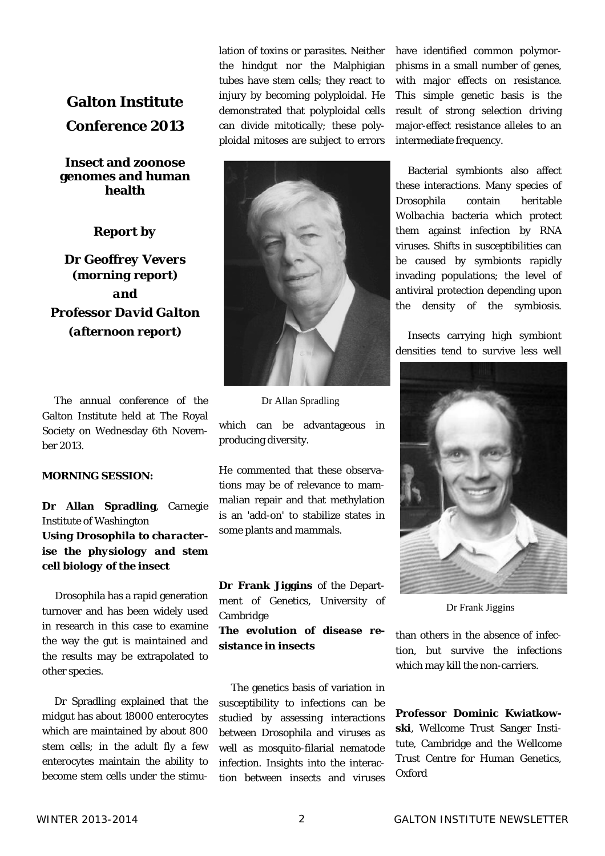### **Galton Institute Conference 2013**

### **Insect and zoonose genomes and human health**

### *Report by*

*Dr Geoffrey Vevers (morning report) and Professor David Galton (afternoon report)* 

 The annual conference of the Galton Institute held at The Royal Society on Wednesday 6th November 2013.

#### **MORNING SESSION:**

**Dr Allan Spradling**, Carnegie Institute of Washington *Using Drosophila to characterise the physiology and stem cell biology of the insect* 

Drosophila has a rapid generation turnover and has been widely used in research in this case to examine the way the gut is maintained and the results may be extrapolated to other species.

 Dr Spradling explained that the midgut has about 18000 enterocytes which are maintained by about 800 stem cells; in the adult fly a few enterocytes maintain the ability to become stem cells under the stimulation of toxins or parasites. Neither the hindgut nor the Malphigian tubes have stem cells; they react to injury by becoming polyploidal. He demonstrated that polyploidal cells can divide mitotically; these polyploidal mitoses are subject to errors



Dr Allan Spradling

which can be advantageous in producing diversity.

He commented that these observations may be of relevance to mammalian repair and that methylation is an 'add-on' to stabilize states in some plants and mammals.

**Dr Frank Jiggins** of the Department of Genetics, University of Cambridge

*The evolution of disease resistance in insects*

 The genetics basis of variation in susceptibility to infections can be studied by assessing interactions between Drosophila and viruses as well as mosquito-filarial nematode infection. Insights into the interaction between insects and viruses

have identified common polymorphisms in a small number of genes, with major effects on resistance. This simple genetic basis is the result of strong selection driving major-effect resistance alleles to an intermediate frequency.

 Bacterial symbionts also affect these interactions. Many species of Drosophila contain heritable *Wolbachia* bacteria which protect them against infection by RNA viruses. Shifts in susceptibilities can be caused by symbionts rapidly invading populations; the level of antiviral protection depending upon the density of the symbiosis.

 Insects carrying high symbiont densities tend to survive less well



Dr Frank Jiggins

than others in the absence of infection, but survive the infections which may kill the non-carriers.

**Professor Dominic Kwiatkowski**, Wellcome Trust Sanger Institute, Cambridge and the Wellcome Trust Centre for Human Genetics, Oxford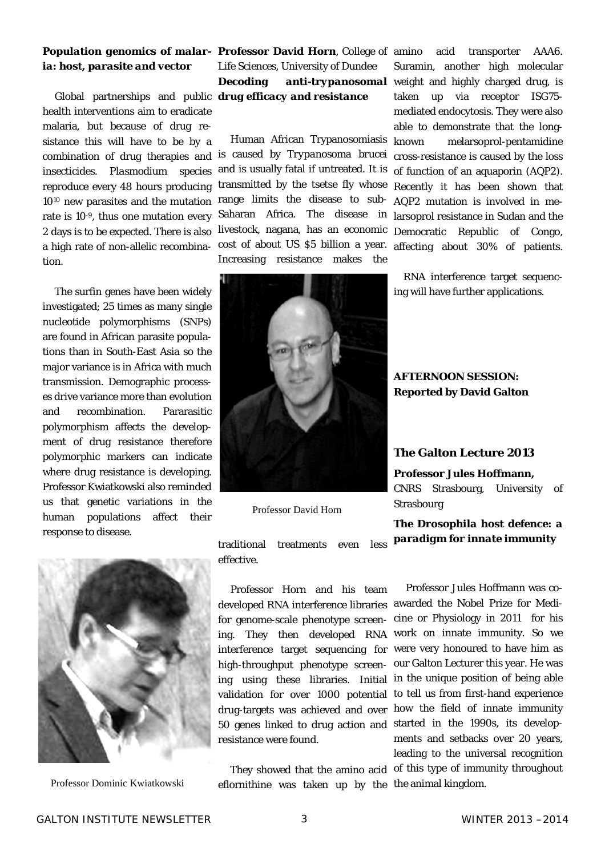## *ia: host, parasite and vector*

 Global partnerships and public *drug efficacy and resistance* health interventions aim to eradicate malaria, but because of drug resistance this will have to be by a combination of drug therapies and insecticides. *Plasmodium* species reproduce every 48 hours producing 1010 new parasites and the mutation rate is 10-9, thus one mutation every 2 days is to be expected. There is also a high rate of non-allelic recombination.

 The surfin genes have been widely investigated; 25 times as many single nucleotide polymorphisms (SNPs) are found in African parasite populations than in South-East Asia so the major variance is in Africa with much transmission. Demographic processes drive variance more than evolution and recombination. Pararasitic polymorphism affects the development of drug resistance therefore polymorphic markers can indicate where drug resistance is developing. Professor Kwiatkowski also reminded us that genetic variations in the human populations affect their response to disease.



### *Population genomics of malar-***Professor David Horn**, College of Life Sciences, University of Dundee *Decoding anti-trypanosomal*

 Human African Trypanosomiasis is caused by *Trypanosoma brucei* and is usually fatal if untreated. It is transmitted by the tsetse fly whose range limits the disease to sub-Saharan Africa. The disease in livestock, nagana, has an economic cost of about US \$5 billion a year. Increasing resistance makes the



Professor David Horn

acid transporter AAA6. Suramin, another high molecular weight and highly charged drug, is taken up via receptor ISG75 mediated endocytosis. They were also able to demonstrate that the longknown melarsoprol-pentamidine cross-resistance is caused by the loss of function of an aquaporin (AQP2). Recently it has been shown that AQP2 mutation is involved in melarsoprol resistance in Sudan and the Democratic Republic of Congo, affecting about 30% of patients.

 RNA interference target sequencing will have further applications.

### **AFTERNOON SESSION: Reported by David Galton**

### **The Galton Lecture 2013**

**Professor Jules Hoffmann,**  CNRS Strasbourg, University of Strasbourg

*The Drosophila host defence: a paradigm for innate immunity* 

traditional treatments even less effective.

 Professor Horn and his team for genome-scale phenotype screenresistance were found.

Professor Dominic Kwiatkowski eflornithine was taken up by the the animal kingdom.

developed RNA interference libraries awarded the Nobel Prize for Mediing. They then developed RNA work on innate immunity. So we interference target sequencing for were very honoured to have him as high-throughput phenotype screen-our Galton Lecturer this year. He was ing using these libraries. Initial in the unique position of being able validation for over 1000 potential to tell us from first-hand experience drug-targets was achieved and over how the field of innate immunity 50 genes linked to drug action and started in the 1990s, its develop- They showed that the amino acid of this type of immunity throughout Professor Jules Hoffmann was cocine or Physiology in 2011 for his ments and setbacks over 20 years, leading to the universal recognition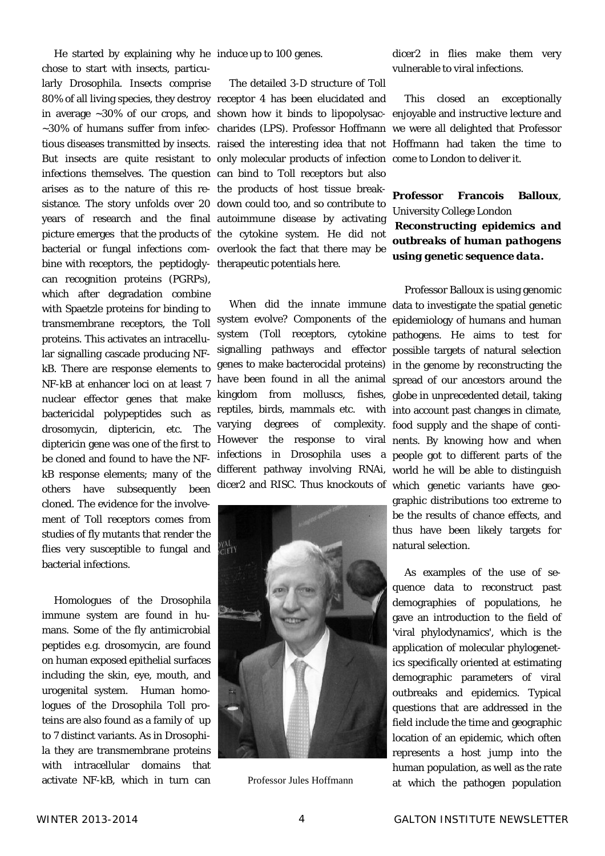He started by explaining why he induce up to 100 genes. chose to start with insects, particularly Drosophila. Insects comprise arises as to the nature of this re-the products of host tissue breakbine with receptors, the peptidogly-therapeutic potentials here. can recognition proteins (PGRPs), which after degradation combine with Spaetzle proteins for binding to transmembrane receptors, the Toll proteins. This activates an intracellular signalling cascade producing NFkB. There are response elements to NF-kB at enhancer loci on at least 7 nuclear effector genes that make bactericidal polypeptides such as drosomycin, diptericin, etc. The diptericin gene was one of the first to be cloned and found to have the NFkB response elements; many of the others have subsequently been cloned. The evidence for the involvement of Toll receptors comes from studies of fly mutants that render the flies very susceptible to fungal and bacterial infections.

 Homologues of the Drosophila immune system are found in humans. Some of the fly antimicrobial peptides e.g. drosomycin, are found on human exposed epithelial surfaces including the skin, eye, mouth, and urogenital system. Human homologues of the Drosophila Toll proteins are also found as a family of up to 7 distinct variants. As in Drosophila they are transmembrane proteins with intracellular domains that activate NF-kB, which in turn can

80% of all living species, they destroy receptor 4 has been elucidated and in average ~30% of our crops, and shown how it binds to lipopolysac-enjoyable and instructive lecture and ~30% of humans suffer from infec-charides (LPS). Professor Hoffmann we were all delighted that Professor tious diseases transmitted by insects. raised the interesting idea that not Hoffmann had taken the time to But insects are quite resistant to only molecular products of infection come to London to deliver it. infections themselves. The question can bind to Toll receptors but also sistance. The story unfolds over 20 down could too, and so contribute to years of research and the final autoimmune disease by activating picture emerges that the products of the cytokine system. He did not bacterial or fungal infections com-overlook the fact that there may be The detailed 3-D structure of Toll

varying degrees of complexity. food supply and the shape of conti-



Professor Jules Hoffmann

dicer2 in flies make them very vulnerable to viral infections.

This closed an exceptionally

### **Professor Francois Balloux**, University College London *Reconstructing epidemics and outbreaks of human pathogens using genetic sequence data***.**

 When did the innate immune data to investigate the spatial genetic system evolve? Components of the epidemiology of humans and human system (Toll receptors, cytokine pathogens. He aims to test for signalling pathways and effector possible targets of natural selection genes to make bacterocidal proteins) in the genome by reconstructing the have been found in all the animal spread of our ancestors around the kingdom from molluscs, fishes, globe in unprecedented detail, taking reptiles, birds, mammals etc. with into account past changes in climate, However the response to viral nents. By knowing how and when infections in Drosophila uses a people got to different parts of the different pathway involving RNAi, world he will be able to distinguish dicer2 and RISC. Thus knockouts of which genetic variants have geo- Professor Balloux is using genomic graphic distributions too extreme to be the results of chance effects, and thus have been likely targets for natural selection.

> As examples of the use of sequence data to reconstruct past demographies of populations, he gave an introduction to the field of 'viral phylodynamics', which is the application of molecular phylogenetics specifically oriented at estimating demographic parameters of viral outbreaks and epidemics. Typical questions that are addressed in the field include the time and geographic location of an epidemic, which often represents a host jump into the human population, as well as the rate at which the pathogen population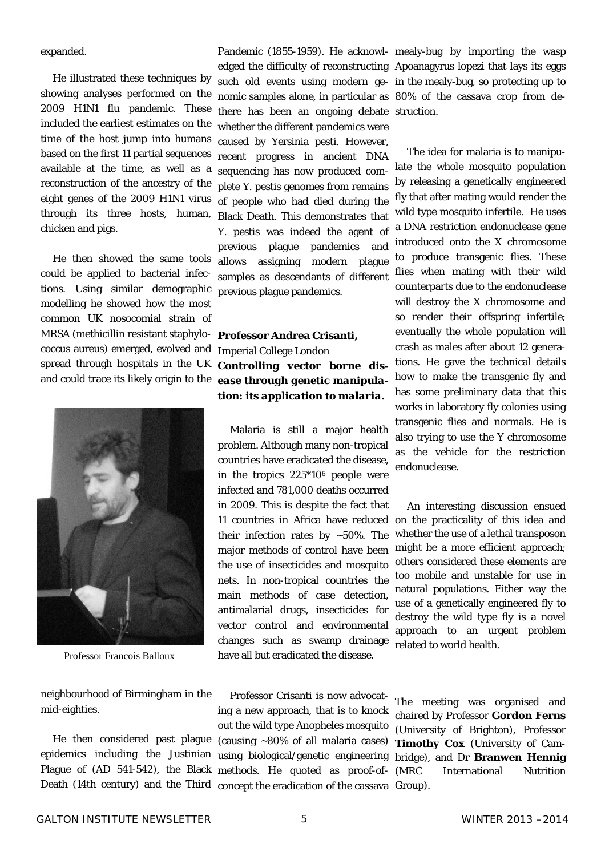expanded.

 He illustrated these techniques by showing analyses performed on the 2009 H1N1 flu pandemic. These included the earliest estimates on the time of the host jump into humans based on the first 11 partial sequences available at the time, as well as a reconstruction of the ancestry of the eight genes of the 2009 H1N1 virus through its three hosts, human, chicken and pigs.

 He then showed the same tools could be applied to bacterial infections. Using similar demographic modelling he showed how the most common UK nosocomial strain of MRSA (methicillin resistant staphylococcus aureus) emerged, evolved and spread through hospitals in the UK and could trace its likely origin to the



Professor Francois Balloux

neighbourhood of Birmingham in the mid-eighties.

 He then considered past plague epidemics including the Justinian Plague of (AD 541-542), the Black methods. He quoted as proof-of-

there has been an ongoing debate struction. whether the different pandemics were caused by Yersinia pesti. However, recent progress in ancient DNA sequencing has now produced complete Y. pestis genomes from remains of people who had died during the Black Death. This demonstrates that Y. pestis was indeed the agent of previous plague pandemics and allows assigning modern plague samples as descendants of different previous plague pandemics.

**Professor Andrea Crisanti,**  Imperial College London *Controlling vector borne disease through genetic manipulation: its application to malaria.* 

 Malaria is still a major health problem. Although many non-tropical countries have eradicated the disease, in the tropics 225\*106 people were infected and 781,000 deaths occurred in 2009. This is despite the fact that 11 countries in Africa have reduced their infection rates by  $\sim 50\%$ . The major methods of control have been the use of insecticides and mosquito nets. In non-tropical countries the main methods of case detection, antimalarial drugs, insecticides for vector control and environmental changes such as swamp drainage have all but eradicated the disease.

Death (14th century) and the Third concept the eradication of the cassava Group). Professor Crisanti is now advocating a new approach, that is to knock out the wild type Anopheles mosquito (causing ~80% of all malaria cases) using biological/genetic engineering

Pandemic (1855-1959). He acknowl-mealy-bug by importing the wasp edged the difficulty of reconstructing Apoanagyrus lopezi that lays its eggs such old events using modern ge-in the mealy-bug, so protecting up to nomic samples alone, in particular as 80% of the cassava crop from de-

> The idea for malaria is to manipulate the whole mosquito population by releasing a genetically engineered fly that after mating would render the wild type mosquito infertile. He uses a DNA restriction endonuclease gene introduced onto the X chromosome to produce transgenic flies. These flies when mating with their wild counterparts due to the endonuclease will destroy the X chromosome and so render their offspring infertile; eventually the whole population will crash as males after about 12 generations. He gave the technical details how to make the transgenic fly and has some preliminary data that this works in laboratory fly colonies using transgenic flies and normals. He is also trying to use the Y chromosome as the vehicle for the restriction endonuclease.

> An interesting discussion ensued on the practicality of this idea and whether the use of a lethal transposon might be a more efficient approach; others considered these elements are too mobile and unstable for use in natural populations. Either way the use of a genetically engineered fly to destroy the wild type fly is a novel approach to an urgent problem related to world health.

> The meeting was organised and chaired by Professor **Gordon Ferns** (University of Brighton), Professor **Timothy Cox** (University of Cambridge), and Dr **Branwen Hennig**  (MRC International Nutrition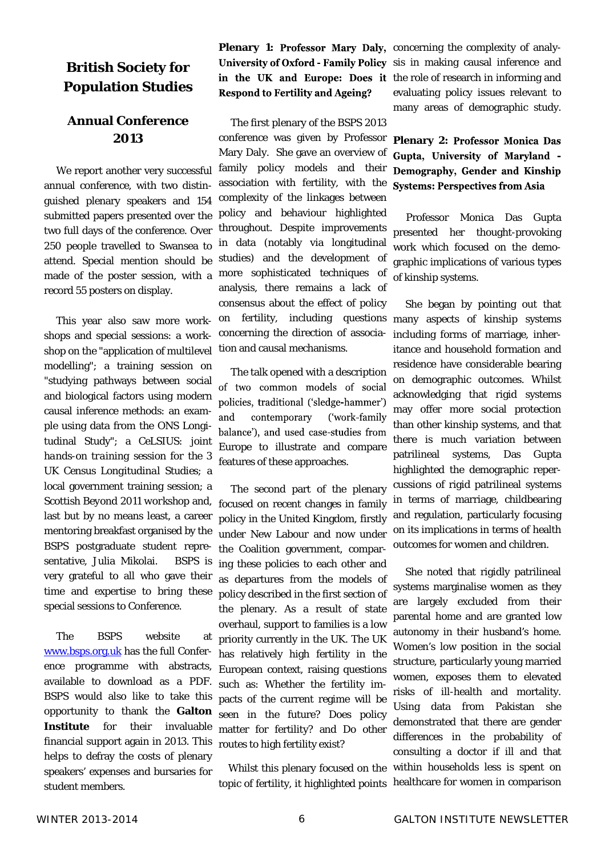### **British Society for Population Studies**

### **Annual Conference 2013**

 We report another very successful annual conference, with two distinguished plenary speakers and 154 submitted papers presented over the two full days of the conference. Over 250 people travelled to Swansea to attend. Special mention should be made of the poster session, with a record 55 posters on display.

 This year also saw more workshops and special sessions: a workshop on the "application of multilevel modelling*"*; a training session on "studying pathways between social and biological factors using modern causal inference methods: an example using data from the ONS Longitudinal Study"; a *CeLSIUS: joint hands-on training session for the 3 UK Census Longitudinal Studies;* a local government training session; a *Scottish Beyond 2011 workshop* and, last but by no means least, a career mentoring breakfast organised by the BSPS postgraduate student representative, Julia Mikolai. BSPS is very grateful to all who gave their time and expertise to bring these special sessions to Conference.

 The BSPS website at www.bsps.org.uk has the full Conference programme with abstracts, available to download as a PDF. BSPS would also like to take this opportunity to thank the **Galton Institute** for their invaluable financial support again in 2013. This helps to defray the costs of plenary speakers' expenses and bursaries for student members.

**Respond to Fertility and Ageing?** 

 The first plenary of the BSPS 2013 conference was given by Professor Mary Daly. She gave an overview of family policy models and their association with fertility, with the complexity of the linkages between policy and behaviour highlighted throughout. Despite improvements in data (notably via longitudinal studies) and the development of more sophisticated techniques of analysis, there remains a lack of consensus about the effect of policy on fertility, including questions concerning the direction of association and causal mechanisms.

 The talk opened with a description of two common models of social policies, traditional ('sledge-hammer') and contemporary ('work-family balance'), and used case-studies from Europe to illustrate and compare features of these approaches.

 The second part of the plenary focused on recent changes in family policy in the United Kingdom, firstly under New Labour and now under the Coalition government, comparing these policies to each other and as departures from the models of policy described in the first section of the plenary. As a result of state overhaul, support to families is a low priority currently in the UK. The UK has relatively high fertility in the European context, raising questions such as: Whether the fertility impacts of the current regime will be seen in the future? Does policy matter for fertility? and Do other routes to high fertility exist?

 Whilst this plenary focused on the topic of fertility, it highlighted points

**Plenary 1: Professor Mary Daly, concerning the complexity of analy-**University of Oxford - Family Policy sis in making causal inference and in the UK and Europe: Does it the role of research in informing and evaluating policy issues relevant to many areas of demographic study.

> **Plenary 2: Professor Monica Das** Gupta, University of Maryland -Demography, Gender and Kinship **Systems: Perspectives from Asia**

> Professor Monica Das Gupta presented her thought-provoking work which focused on the demographic implications of various types of kinship systems.

> She began by pointing out that many aspects of kinship systems including forms of marriage, inheritance and household formation and residence have considerable bearing on demographic outcomes. Whilst acknowledging that rigid systems may offer more social protection than other kinship systems, and that there is much variation between patrilineal systems, Das Gupta highlighted the demographic repercussions of rigid patrilineal systems in terms of marriage, childbearing and regulation, particularly focusing on its implications in terms of health outcomes for women and children.

> She noted that rigidly patrilineal systems marginalise women as they are largely excluded from their parental home and are granted low autonomy in their husband's home. Women's low position in the social structure, particularly young married women, exposes them to elevated risks of ill-health and mortality. Using data from Pakistan she demonstrated that there are gender differences in the probability of consulting a doctor if ill and that within households less is spent on healthcare for women in comparison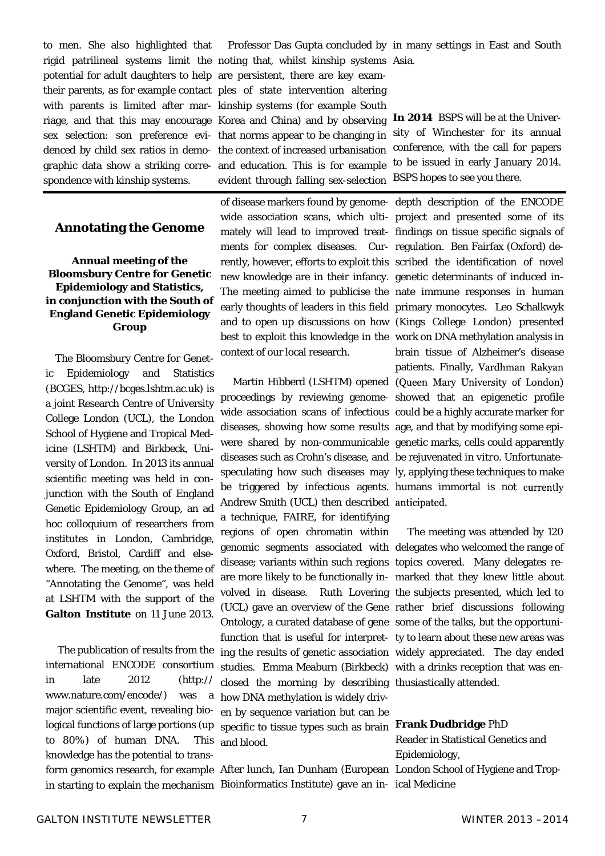to men. She also highlighted that spondence with kinship systems.

### **Annotating the Genome**

### **Annual meeting of the Bloomsbury Centre for Genetic Epidemiology and Statistics, in conjunction with the South of England Genetic Epidemiology Group**

 The Bloomsbury Centre for Genetic Epidemiology and Statistics (BCGES, http://bcges.lshtm.ac.uk) is a joint Research Centre of University College London (UCL), the London School of Hygiene and Tropical Medicine (LSHTM) and Birkbeck, University of London. In 2013 its annual scientific meeting was held in conjunction with the South of England Genetic Epidemiology Group, an ad hoc colloquium of researchers from institutes in London, Cambridge, Oxford, Bristol, Cardiff and elsewhere. The meeting, on the theme of "Annotating the Genome", was held at LSHTM with the support of the Galton Institute on 11 June 2013.

 The publication of results from the international ENCODE consortium in late 2012 (http:// www.nature.com/encode/) was a major scientific event, revealing biological functions of large portions (up to 80%) of human DNA. This knowledge has the potential to transin starting to explain the mechanism Bioinformatics Institute) gave an in-ical Medicine

rigid patrilineal systems limit the noting that, whilst kinship systems Asia. potential for adult daughters to help are persistent, there are key examtheir parents, as for example contact ples of state intervention altering with parents is limited after mar-kinship systems (for example South riage, and that this may encourage Korea and China) and by observing sex selection: son preference evi-that norms appear to be changing in denced by child sex ratios in demo-the context of increased urbanisation graphic data show a striking corre-and education. This is for example evident through falling sex-selection

> ments for complex diseases. Cur-regulation. Ben Fairfax (Oxford) denew knowledge are in their infancy. genetic determinants of induced incontext of our local research.

> proceedings by reviewing genome-showed that an epigenetic profile wide association scans of infectious could be a highly accurate marker for diseases, showing how some results age, and that by modifying some epiwere shared by non-communicable genetic marks, cells could apparently diseases such as Crohn's disease, and be rejuvenated *in vitro*. Unfortunatespeculating how such diseases may ly, applying these techniques to make be triggered by infectious agents. humans immortal is not Andrew Smith (UCL) then described anticipated. a technique, FAIRE, for identifying regions of open chromatin within genomic segments associated with delegates who welcomed the range of disease; variants within such regions topics covered. Many delegates reare more likely to be functionally in-marked that they knew little about volved in disease. Ruth Lovering the subjects presented, which led to (UCL) gave an overview of the Gene rather brief discussions following Ontology, a curated database of gene some of the talks, but the opportunifunction that is useful for interpret-ty to learn about these new areas was ing the results of genetic association widely appreciated. The day ended studies. Emma Meaburn (Birkbeck) with a drinks reception that was enclosed the morning by describing thusiastically attended. how DNA methylation is widely driven by sequence variation but can be specific to tissue types such as brain **Frank Dudbridge** PhD and blood.

form genomics research, for example After lunch, Ian Dunham (European London School of Hygiene and Trop-

Professor Das Gupta concluded by in many settings in East and South

**In 2014** BSPS will be at the University of Winchester for its annual conference, with the call for papers to be issued in early January 2014. BSPS hopes to see you there.

of disease markers found by genome-depth description of the ENCODE wide association scans, which ulti-project and presented some of its mately will lead to improved treat-findings on tissue specific signals of rently, however, efforts to exploit this scribed the identification of novel The meeting aimed to publicise the nate immune responses in human early thoughts of leaders in this field primary monocytes. Leo Schalkwyk and to open up discussions on how (Kings College London) presented best to exploit this knowledge in the work on DNA methylation analysis in Martin Hibberd (LSHTM) opened (Queen Mary University of London) brain tissue of Alzheimer's disease patients. Finally, Vardhman Rakyan

The meeting was attended by 120

Reader in Statistical Genetics and Epidemiology,